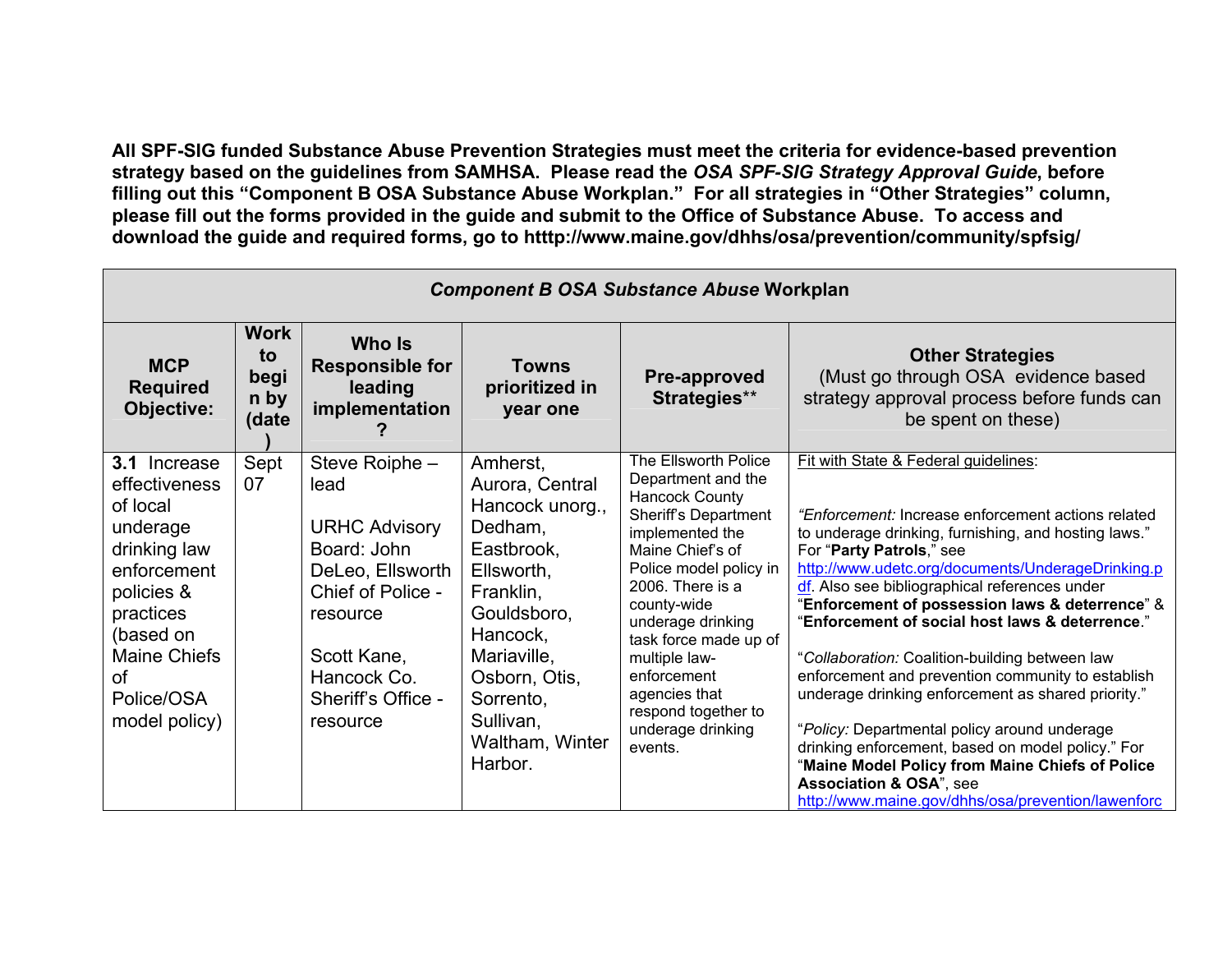All SPF-SIG funded Substance Abuse Prevention Strategies must meet the criteria for evidence-based prevention strategy based on the guidelines from SAMHSA. Please read the OSA SPF-SIG Strategy Approval Guide, before filling out this "Component B OSA Substance Abuse Workplan." For all strategies in "Other Strategies" column, please fill out the forms provided in the guide and submit to the Office of Substance Abuse. To access and download the guide and required forms, go to htttp://www.maine.gov/dhhs/osa/prevention/community/spfsig/

| <b>Component B OSA Substance Abuse Workplan</b>                                                                                                                                                 |                                            |                                                                                                                                                                                    |                                                                                                                                                                                                                       |                                                                                                                                                                                                                                                                                                                                                       |                                                                                                                                                                                                                                                                                                                                                                                                                                                                                                                                                                                                                                                                                                                                                                                                  |  |  |
|-------------------------------------------------------------------------------------------------------------------------------------------------------------------------------------------------|--------------------------------------------|------------------------------------------------------------------------------------------------------------------------------------------------------------------------------------|-----------------------------------------------------------------------------------------------------------------------------------------------------------------------------------------------------------------------|-------------------------------------------------------------------------------------------------------------------------------------------------------------------------------------------------------------------------------------------------------------------------------------------------------------------------------------------------------|--------------------------------------------------------------------------------------------------------------------------------------------------------------------------------------------------------------------------------------------------------------------------------------------------------------------------------------------------------------------------------------------------------------------------------------------------------------------------------------------------------------------------------------------------------------------------------------------------------------------------------------------------------------------------------------------------------------------------------------------------------------------------------------------------|--|--|
| <b>MCP</b><br><b>Required</b><br>Objective:                                                                                                                                                     | <b>Work</b><br>to<br>begi<br>n by<br>(date | <b>Who Is</b><br><b>Responsible for</b><br>leading<br>implementation                                                                                                               | <b>Towns</b><br>prioritized in<br>year one                                                                                                                                                                            | Pre-approved<br>Strategies**                                                                                                                                                                                                                                                                                                                          | <b>Other Strategies</b><br>(Must go through OSA evidence based<br>strategy approval process before funds can<br>be spent on these)                                                                                                                                                                                                                                                                                                                                                                                                                                                                                                                                                                                                                                                               |  |  |
| <b>3.1</b> Increase<br>effectiveness<br>of local<br>underage<br>drinking law<br>enforcement<br>policies &<br>practices<br>(based on<br><b>Maine Chiefs</b><br>Ωf<br>Police/OSA<br>model policy) | Sept<br>07                                 | Steve Roiphe -<br>lead<br><b>URHC Advisory</b><br>Board: John<br>DeLeo, Ellsworth<br>Chief of Police -<br>resource<br>Scott Kane,<br>Hancock Co.<br>Sheriff's Office -<br>resource | Amherst,<br>Aurora, Central<br>Hancock unorg.,<br>Dedham,<br>Eastbrook,<br>Ellsworth,<br>Franklin,<br>Gouldsboro,<br>Hancock,<br>Mariaville,<br>Osborn, Otis,<br>Sorrento,<br>Sullivan,<br>Waltham, Winter<br>Harbor. | The Ellsworth Police<br>Department and the<br><b>Hancock County</b><br>Sheriff's Department<br>implemented the<br>Maine Chief's of<br>Police model policy in<br>2006. There is a<br>county-wide<br>underage drinking<br>task force made up of<br>multiple law-<br>enforcement<br>agencies that<br>respond together to<br>underage drinking<br>events. | Fit with State & Federal guidelines:<br>"Enforcement: Increase enforcement actions related<br>to underage drinking, furnishing, and hosting laws."<br>For "Party Patrols," see<br>http://www.udetc.org/documents/UnderageDrinking.p<br>df. Also see bibliographical references under<br>"Enforcement of possession laws & deterrence" &<br>"Enforcement of social host laws & deterrence."<br>"Collaboration: Coalition-building between law<br>enforcement and prevention community to establish<br>underage drinking enforcement as shared priority."<br>"Policy: Departmental policy around underage<br>drinking enforcement, based on model policy." For<br>"Maine Model Policy from Maine Chiefs of Police<br>Association & OSA", see<br>http://www.maine.gov/dhhs/osa/prevention/lawenforc |  |  |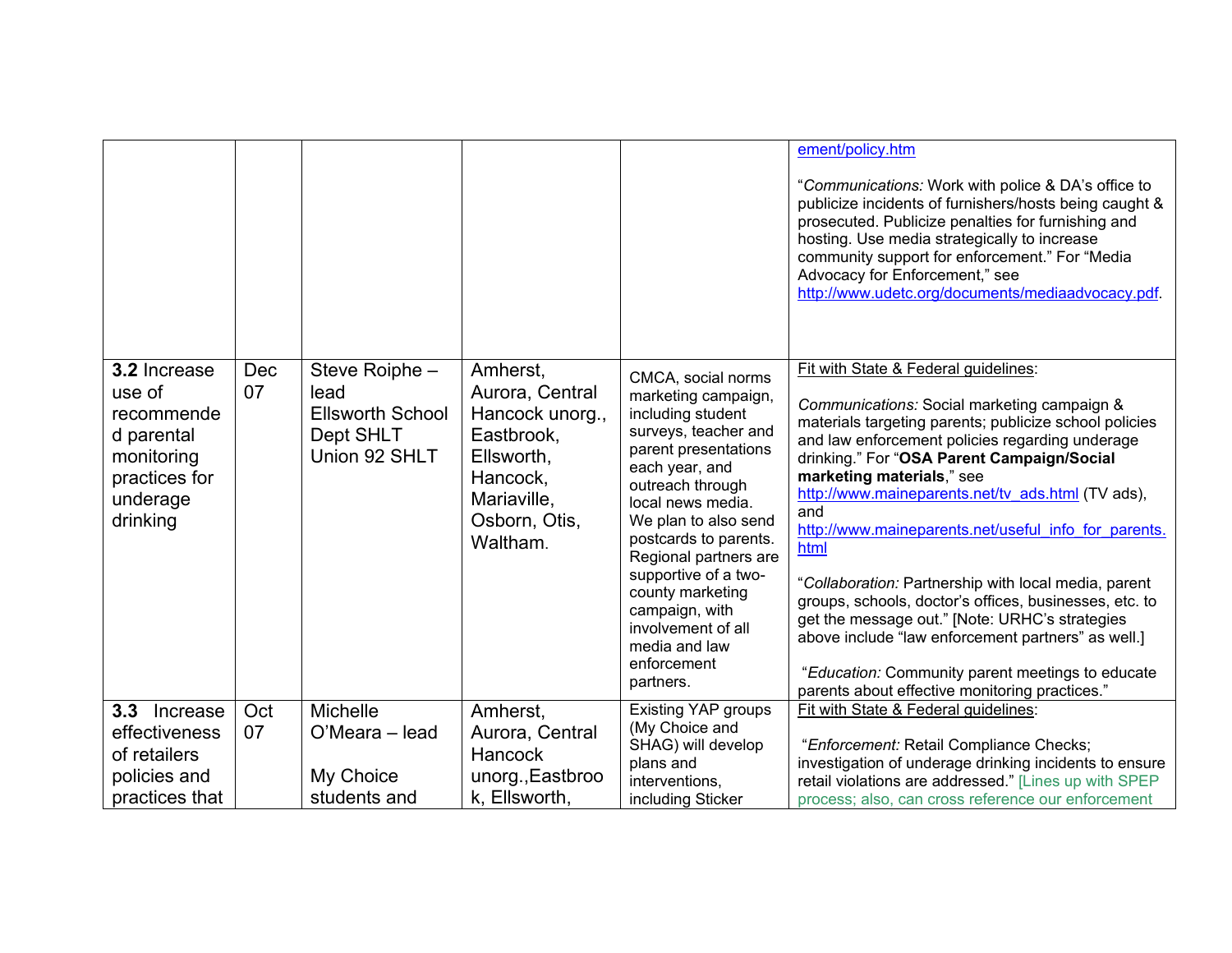|                                                                                                           |           |                                                                                 |                                                                                                                                    |                                                                                                                                                                                                                                                                                                                                                                                      | ement/policy.htm                                                                                                                                                                                                                                                                                                                                                                                                                                                                                                                                                                                                                                                                                                                        |
|-----------------------------------------------------------------------------------------------------------|-----------|---------------------------------------------------------------------------------|------------------------------------------------------------------------------------------------------------------------------------|--------------------------------------------------------------------------------------------------------------------------------------------------------------------------------------------------------------------------------------------------------------------------------------------------------------------------------------------------------------------------------------|-----------------------------------------------------------------------------------------------------------------------------------------------------------------------------------------------------------------------------------------------------------------------------------------------------------------------------------------------------------------------------------------------------------------------------------------------------------------------------------------------------------------------------------------------------------------------------------------------------------------------------------------------------------------------------------------------------------------------------------------|
|                                                                                                           |           |                                                                                 |                                                                                                                                    |                                                                                                                                                                                                                                                                                                                                                                                      | "Communications: Work with police & DA's office to<br>publicize incidents of furnishers/hosts being caught &<br>prosecuted. Publicize penalties for furnishing and<br>hosting. Use media strategically to increase<br>community support for enforcement." For "Media<br>Advocacy for Enforcement," see<br>http://www.udetc.org/documents/mediaadvocacy.pdf.                                                                                                                                                                                                                                                                                                                                                                             |
| 3.2 Increase<br>use of<br>recommende<br>d parental<br>monitoring<br>practices for<br>underage<br>drinking | Dec<br>07 | Steve Roiphe -<br>lead<br><b>Ellsworth School</b><br>Dept SHLT<br>Union 92 SHLT | Amherst,<br>Aurora, Central<br>Hancock unorg.,<br>Eastbrook,<br>Ellsworth,<br>Hancock,<br>Mariaville,<br>Osborn, Otis,<br>Waltham. | CMCA, social norms<br>marketing campaign,<br>including student<br>surveys, teacher and<br>parent presentations<br>each year, and<br>outreach through<br>local news media.<br>We plan to also send<br>postcards to parents.<br>Regional partners are<br>supportive of a two-<br>county marketing<br>campaign, with<br>involvement of all<br>media and law<br>enforcement<br>partners. | Fit with State & Federal guidelines:<br>Communications: Social marketing campaign &<br>materials targeting parents; publicize school policies<br>and law enforcement policies regarding underage<br>drinking." For "OSA Parent Campaign/Social<br>marketing materials," see<br>http://www.maineparents.net/tv ads.html (TV ads),<br>and<br>http://www.maineparents.net/useful info for parents.<br>html<br>"Collaboration: Partnership with local media, parent<br>groups, schools, doctor's offices, businesses, etc. to<br>get the message out." [Note: URHC's strategies<br>above include "law enforcement partners" as well.]<br>"Education: Community parent meetings to educate<br>parents about effective monitoring practices." |
| 3.3<br>Increase                                                                                           | Oct       | Michelle                                                                        | Amherst,                                                                                                                           | <b>Existing YAP groups</b>                                                                                                                                                                                                                                                                                                                                                           | Fit with State & Federal guidelines:                                                                                                                                                                                                                                                                                                                                                                                                                                                                                                                                                                                                                                                                                                    |
| effectiveness                                                                                             | 07        | O'Meara - lead                                                                  | Aurora, Central                                                                                                                    | (My Choice and                                                                                                                                                                                                                                                                                                                                                                       |                                                                                                                                                                                                                                                                                                                                                                                                                                                                                                                                                                                                                                                                                                                                         |
| of retailers                                                                                              |           |                                                                                 | <b>Hancock</b>                                                                                                                     | SHAG) will develop<br>plans and                                                                                                                                                                                                                                                                                                                                                      | "Enforcement: Retail Compliance Checks;<br>investigation of underage drinking incidents to ensure                                                                                                                                                                                                                                                                                                                                                                                                                                                                                                                                                                                                                                       |
| policies and                                                                                              |           | My Choice                                                                       | unorg., Eastbroo                                                                                                                   | interventions,                                                                                                                                                                                                                                                                                                                                                                       | retail violations are addressed." [Lines up with SPEP                                                                                                                                                                                                                                                                                                                                                                                                                                                                                                                                                                                                                                                                                   |
| practices that                                                                                            |           | students and                                                                    | k, Ellsworth,                                                                                                                      | including Sticker                                                                                                                                                                                                                                                                                                                                                                    | process; also, can cross reference our enforcement                                                                                                                                                                                                                                                                                                                                                                                                                                                                                                                                                                                                                                                                                      |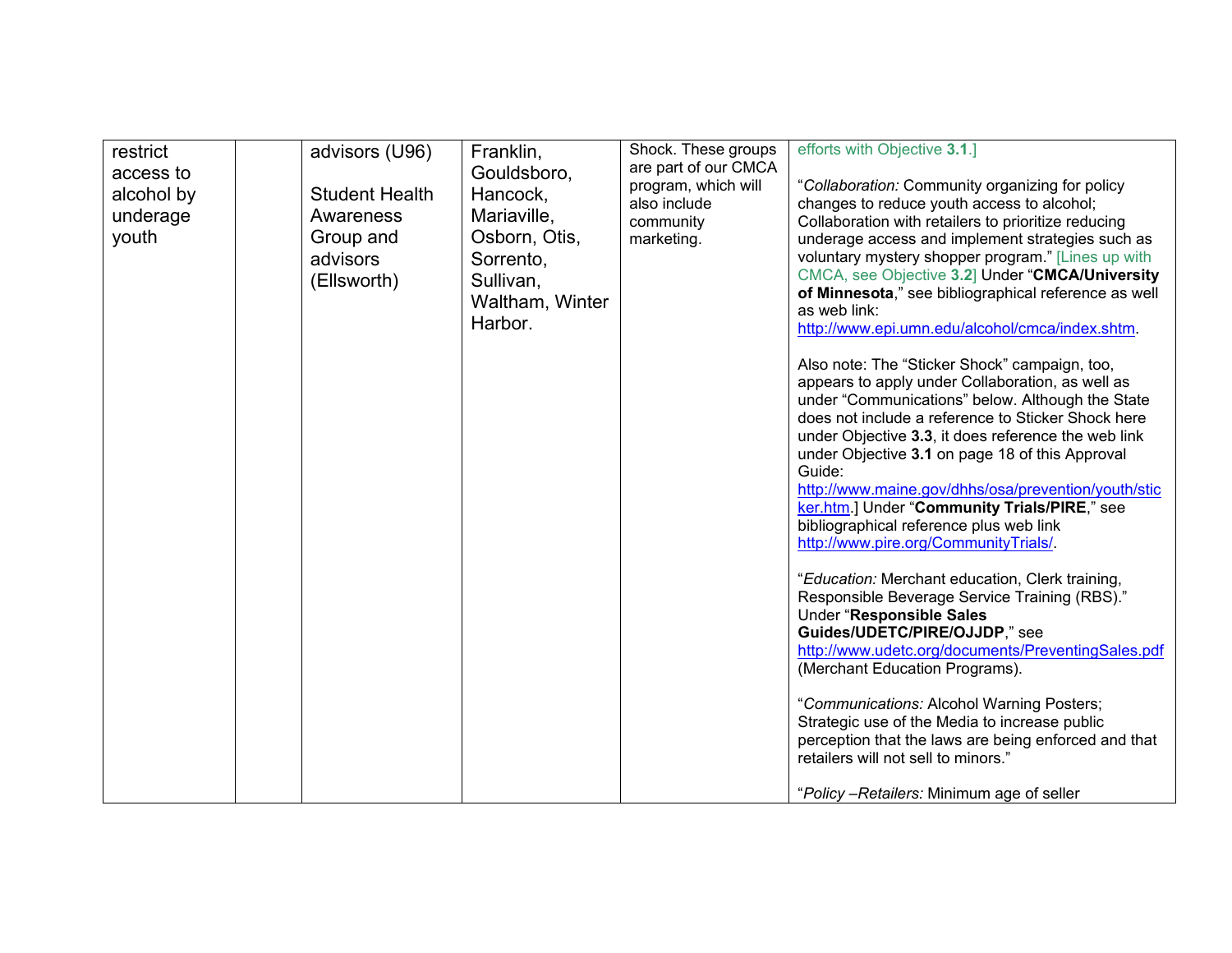| restrict<br>access to<br>alcohol by<br>underage<br>youth |  | advisors (U96)<br><b>Student Health</b><br>Awareness<br>Group and<br>advisors<br>(Ellsworth) | Franklin,<br>Gouldsboro,<br>Hancock,<br>Mariaville,<br>Osborn, Otis,<br>Sorrento,<br>Sullivan,<br>Waltham, Winter<br>Harbor. | Shock. These groups<br>are part of our CMCA<br>program, which will<br>also include<br>community<br>marketing. | efforts with Objective 3.1.]<br>"Collaboration: Community organizing for policy<br>changes to reduce youth access to alcohol;<br>Collaboration with retailers to prioritize reducing<br>underage access and implement strategies such as<br>voluntary mystery shopper program." [Lines up with<br>CMCA, see Objective 3.2] Under "CMCA/University<br>of Minnesota," see bibliographical reference as well<br>as web link:<br>http://www.epi.umn.edu/alcohol/cmca/index.shtm.<br>Also note: The "Sticker Shock" campaign, too,<br>appears to apply under Collaboration, as well as<br>under "Communications" below. Although the State<br>does not include a reference to Sticker Shock here<br>under Objective 3.3, it does reference the web link<br>under Objective 3.1 on page 18 of this Approval<br>Guide:<br>http://www.maine.gov/dhhs/osa/prevention/youth/stic<br>ker.htm.] Under "Community Trials/PIRE," see<br>bibliographical reference plus web link<br>http://www.pire.org/CommunityTrials/.<br>"Education: Merchant education, Clerk training,<br>Responsible Beverage Service Training (RBS)."<br>Under "Responsible Sales<br>Guides/UDETC/PIRE/OJJDP," see<br>http://www.udetc.org/documents/PreventingSales.pdf<br>(Merchant Education Programs).<br>"Communications: Alcohol Warning Posters;<br>Strategic use of the Media to increase public<br>perception that the laws are being enforced and that<br>retailers will not sell to minors."<br>"Policy - Retailers: Minimum age of seller |
|----------------------------------------------------------|--|----------------------------------------------------------------------------------------------|------------------------------------------------------------------------------------------------------------------------------|---------------------------------------------------------------------------------------------------------------|----------------------------------------------------------------------------------------------------------------------------------------------------------------------------------------------------------------------------------------------------------------------------------------------------------------------------------------------------------------------------------------------------------------------------------------------------------------------------------------------------------------------------------------------------------------------------------------------------------------------------------------------------------------------------------------------------------------------------------------------------------------------------------------------------------------------------------------------------------------------------------------------------------------------------------------------------------------------------------------------------------------------------------------------------------------------------------------------------------------------------------------------------------------------------------------------------------------------------------------------------------------------------------------------------------------------------------------------------------------------------------------------------------------------------------------------------------------------------------------------------------------|
|----------------------------------------------------------|--|----------------------------------------------------------------------------------------------|------------------------------------------------------------------------------------------------------------------------------|---------------------------------------------------------------------------------------------------------------|----------------------------------------------------------------------------------------------------------------------------------------------------------------------------------------------------------------------------------------------------------------------------------------------------------------------------------------------------------------------------------------------------------------------------------------------------------------------------------------------------------------------------------------------------------------------------------------------------------------------------------------------------------------------------------------------------------------------------------------------------------------------------------------------------------------------------------------------------------------------------------------------------------------------------------------------------------------------------------------------------------------------------------------------------------------------------------------------------------------------------------------------------------------------------------------------------------------------------------------------------------------------------------------------------------------------------------------------------------------------------------------------------------------------------------------------------------------------------------------------------------------|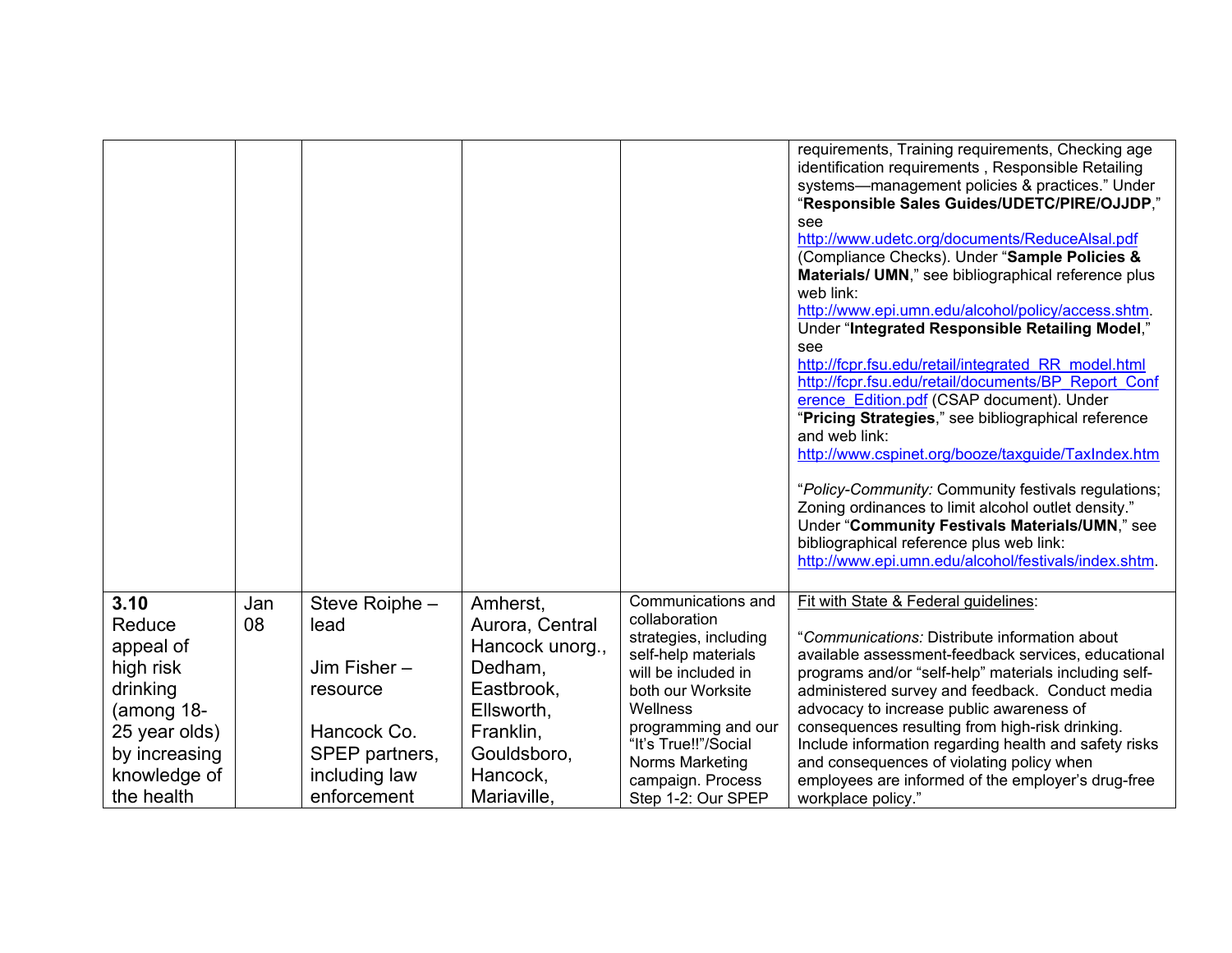|               |     |                |                 |                       | requirements, Training requirements, Checking age                                                          |
|---------------|-----|----------------|-----------------|-----------------------|------------------------------------------------------------------------------------------------------------|
|               |     |                |                 |                       | identification requirements, Responsible Retailing                                                         |
|               |     |                |                 |                       | systems-management policies & practices." Under                                                            |
|               |     |                |                 |                       | "Responsible Sales Guides/UDETC/PIRE/OJJDP,"                                                               |
|               |     |                |                 |                       | see                                                                                                        |
|               |     |                |                 |                       | http://www.udetc.org/documents/ReduceAlsal.pdf                                                             |
|               |     |                |                 |                       | (Compliance Checks). Under "Sample Policies &                                                              |
|               |     |                |                 |                       | Materials/ UMN," see bibliographical reference plus                                                        |
|               |     |                |                 |                       | web link:                                                                                                  |
|               |     |                |                 |                       | http://www.epi.umn.edu/alcohol/policy/access.shtm.                                                         |
|               |     |                |                 |                       | Under "Integrated Responsible Retailing Model,"                                                            |
|               |     |                |                 |                       | see                                                                                                        |
|               |     |                |                 |                       | http://fcpr.fsu.edu/retail/integrated RR model.html<br>http://fcpr.fsu.edu/retail/documents/BP Report Conf |
|               |     |                |                 |                       | erence Edition.pdf (CSAP document). Under                                                                  |
|               |     |                |                 |                       | "Pricing Strategies," see bibliographical reference                                                        |
|               |     |                |                 |                       | and web link:                                                                                              |
|               |     |                |                 |                       | http://www.cspinet.org/booze/taxguide/TaxIndex.htm                                                         |
|               |     |                |                 |                       |                                                                                                            |
|               |     |                |                 |                       | "Policy-Community: Community festivals regulations;                                                        |
|               |     |                |                 |                       | Zoning ordinances to limit alcohol outlet density."                                                        |
|               |     |                |                 |                       | Under "Community Festivals Materials/UMN," see                                                             |
|               |     |                |                 |                       | bibliographical reference plus web link:<br>http://www.epi.umn.edu/alcohol/festivals/index.shtm.           |
|               |     |                |                 |                       |                                                                                                            |
| 3.10          |     |                |                 | Communications and    | Fit with State & Federal guidelines:                                                                       |
|               | Jan | Steve Roiphe - | Amherst,        | collaboration         |                                                                                                            |
| Reduce        | 08  | lead           | Aurora, Central | strategies, including | "Communications: Distribute information about                                                              |
| appeal of     |     |                | Hancock unorg., | self-help materials   | available assessment-feedback services, educational                                                        |
| high risk     |     | Jim Fisher –   | Dedham,         | will be included in   | programs and/or "self-help" materials including self-                                                      |
| drinking      |     | resource       | Eastbrook,      | both our Worksite     | administered survey and feedback. Conduct media                                                            |
| (among 18-    |     |                | Ellsworth,      | Wellness              | advocacy to increase public awareness of                                                                   |
| 25 year olds) |     | Hancock Co.    | Franklin,       | programming and our   | consequences resulting from high-risk drinking.                                                            |
| by increasing |     | SPEP partners, | Gouldsboro,     | "It's True!!"/Social  | Include information regarding health and safety risks                                                      |
| knowledge of  |     | including law  | Hancock,        | Norms Marketing       | and consequences of violating policy when                                                                  |
| the health    |     | enforcement    | Mariaville,     | campaign. Process     | employees are informed of the employer's drug-free                                                         |
|               |     |                |                 | Step 1-2: Our SPEP    | workplace policy."                                                                                         |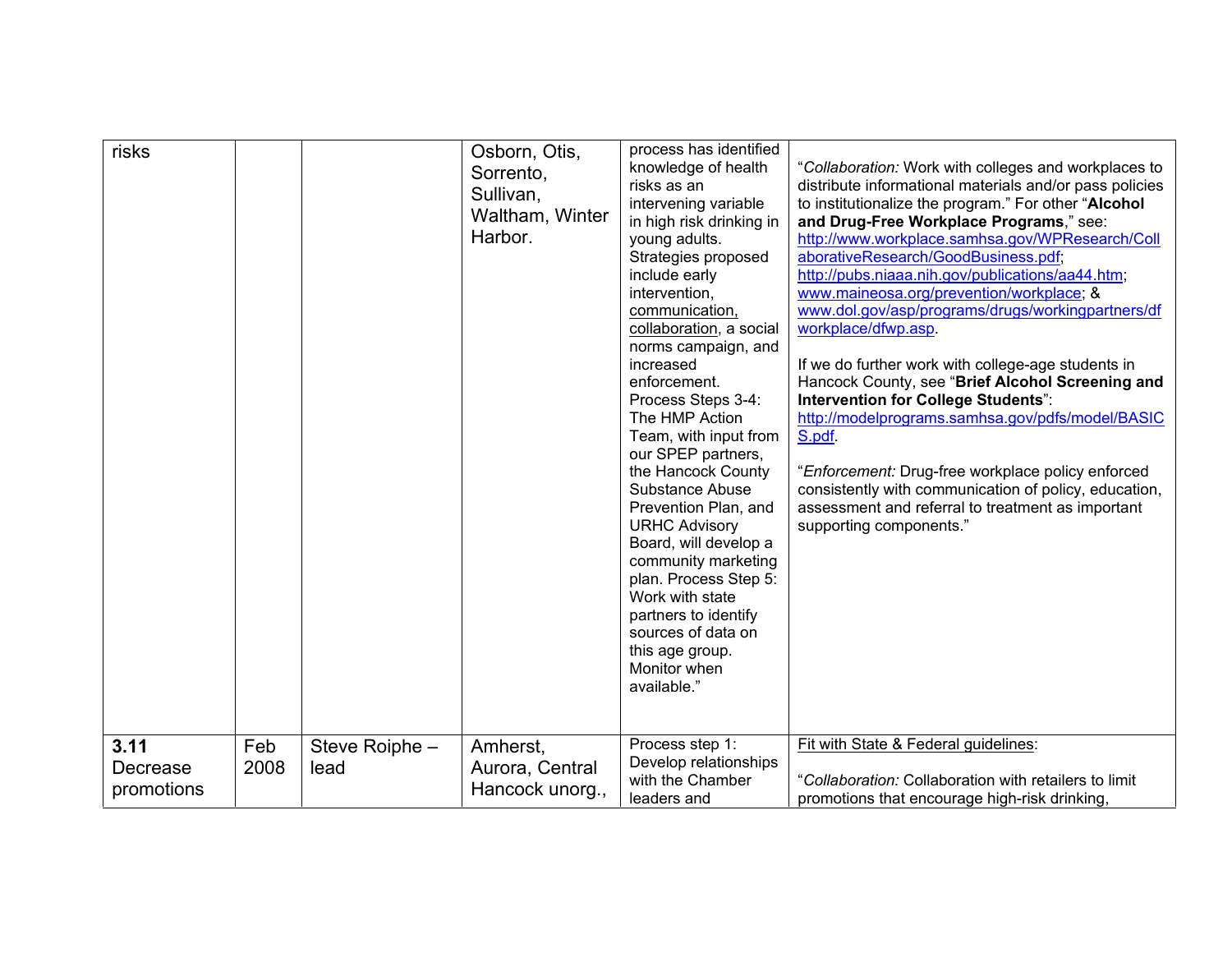| risks                          |             |                        | Osborn, Otis,<br>Sorrento,<br>Sullivan,<br>Waltham, Winter<br>Harbor. | process has identified<br>knowledge of health<br>risks as an<br>intervening variable<br>in high risk drinking in<br>young adults.<br>Strategies proposed<br>include early<br>intervention,<br>communication,<br>collaboration, a social<br>norms campaign, and<br>increased<br>enforcement.<br>Process Steps 3-4:<br>The HMP Action<br>Team, with input from<br>our SPEP partners,<br>the Hancock County<br>Substance Abuse<br>Prevention Plan, and<br><b>URHC Advisory</b><br>Board, will develop a<br>community marketing<br>plan. Process Step 5:<br>Work with state<br>partners to identify<br>sources of data on<br>this age group.<br>Monitor when<br>available." | "Collaboration: Work with colleges and workplaces to<br>distribute informational materials and/or pass policies<br>to institutionalize the program." For other "Alcohol<br>and Drug-Free Workplace Programs," see:<br>http://www.workplace.samhsa.gov/WPResearch/Coll<br>aborativeResearch/GoodBusiness.pdf;<br>http://pubs.niaaa.nih.gov/publications/aa44.htm;<br>www.maineosa.org/prevention/workplace; &<br>www.dol.gov/asp/programs/drugs/workingpartners/df<br>workplace/dfwp.asp.<br>If we do further work with college-age students in<br>Hancock County, see "Brief Alcohol Screening and<br>Intervention for College Students":<br>http://modelprograms.samhsa.gov/pdfs/model/BASIC<br>S.pdf.<br>"Enforcement: Drug-free workplace policy enforced<br>consistently with communication of policy, education,<br>assessment and referral to treatment as important<br>supporting components." |
|--------------------------------|-------------|------------------------|-----------------------------------------------------------------------|-------------------------------------------------------------------------------------------------------------------------------------------------------------------------------------------------------------------------------------------------------------------------------------------------------------------------------------------------------------------------------------------------------------------------------------------------------------------------------------------------------------------------------------------------------------------------------------------------------------------------------------------------------------------------|-------------------------------------------------------------------------------------------------------------------------------------------------------------------------------------------------------------------------------------------------------------------------------------------------------------------------------------------------------------------------------------------------------------------------------------------------------------------------------------------------------------------------------------------------------------------------------------------------------------------------------------------------------------------------------------------------------------------------------------------------------------------------------------------------------------------------------------------------------------------------------------------------------|
| 3.11<br>Decrease<br>promotions | Feb<br>2008 | Steve Roiphe -<br>lead | Amherst,<br>Aurora, Central<br>Hancock unorg.,                        | Process step 1:<br>Develop relationships<br>with the Chamber<br>leaders and                                                                                                                                                                                                                                                                                                                                                                                                                                                                                                                                                                                             | Fit with State & Federal guidelines:<br>"Collaboration: Collaboration with retailers to limit<br>promotions that encourage high-risk drinking,                                                                                                                                                                                                                                                                                                                                                                                                                                                                                                                                                                                                                                                                                                                                                        |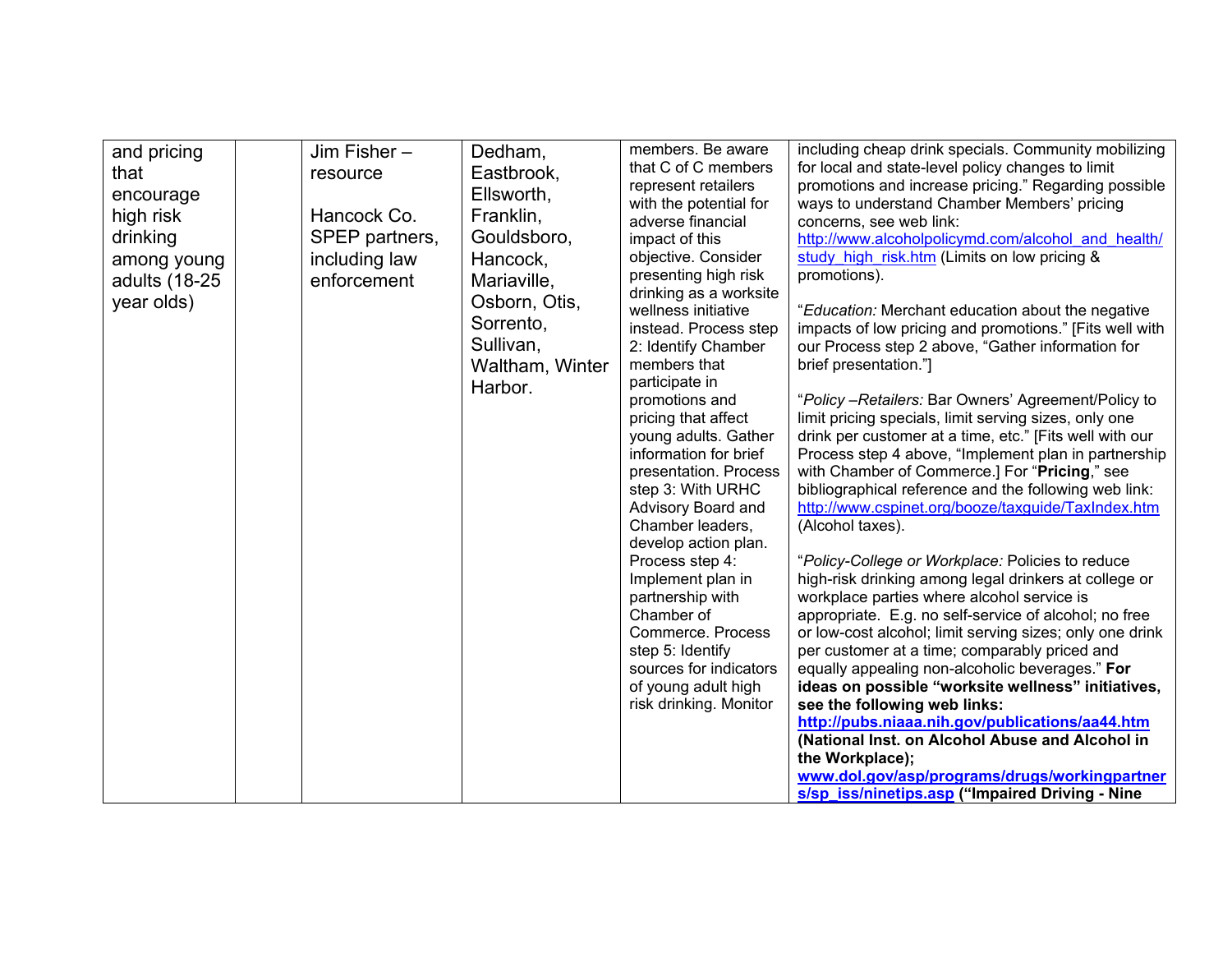| and pricing<br>that<br>encourage<br>high risk<br>drinking<br>among young<br>adults (18-25<br>year olds) | Jim Fisher-<br>resource<br>Hancock Co.<br>SPEP partners,<br>including law<br>enforcement | Dedham,<br>Eastbrook,<br>Ellsworth,<br>Franklin,<br>Gouldsboro,<br>Hancock,<br>Mariaville,<br>Osborn, Otis,<br>Sorrento,<br>Sullivan,<br>Waltham, Winter<br>Harbor. | members. Be aware<br>that C of C members<br>represent retailers<br>with the potential for<br>adverse financial<br>impact of this<br>objective. Consider<br>presenting high risk<br>drinking as a worksite<br>wellness initiative<br>instead. Process step<br>2: Identify Chamber<br>members that<br>participate in<br>promotions and<br>pricing that affect | including cheap drink specials. Community mobilizing<br>for local and state-level policy changes to limit<br>promotions and increase pricing." Regarding possible<br>ways to understand Chamber Members' pricing<br>concerns, see web link:<br>http://www.alcoholpolicymd.com/alcohol and health/<br>study high risk.htm (Limits on low pricing &<br>promotions).<br>"Education: Merchant education about the negative<br>impacts of low pricing and promotions." [Fits well with<br>our Process step 2 above, "Gather information for<br>brief presentation."]<br>"Policy - Retailers: Bar Owners' Agreement/Policy to<br>limit pricing specials, limit serving sizes, only one                                                                                                                                                 |
|---------------------------------------------------------------------------------------------------------|------------------------------------------------------------------------------------------|---------------------------------------------------------------------------------------------------------------------------------------------------------------------|-------------------------------------------------------------------------------------------------------------------------------------------------------------------------------------------------------------------------------------------------------------------------------------------------------------------------------------------------------------|----------------------------------------------------------------------------------------------------------------------------------------------------------------------------------------------------------------------------------------------------------------------------------------------------------------------------------------------------------------------------------------------------------------------------------------------------------------------------------------------------------------------------------------------------------------------------------------------------------------------------------------------------------------------------------------------------------------------------------------------------------------------------------------------------------------------------------|
|                                                                                                         |                                                                                          |                                                                                                                                                                     | young adults. Gather<br>information for brief<br>presentation. Process<br>step 3: With URHC<br>Advisory Board and<br>Chamber leaders,<br>develop action plan.<br>Process step 4:<br>Implement plan in<br>partnership with<br>Chamber of<br>Commerce. Process<br>step 5: Identify<br>sources for indicators<br>of young adult high<br>risk drinking. Monitor | drink per customer at a time, etc." [Fits well with our<br>Process step 4 above, "Implement plan in partnership<br>with Chamber of Commerce.] For "Pricing," see<br>bibliographical reference and the following web link:<br>http://www.cspinet.org/booze/taxguide/TaxIndex.htm<br>(Alcohol taxes).<br>"Policy-College or Workplace: Policies to reduce<br>high-risk drinking among legal drinkers at college or<br>workplace parties where alcohol service is<br>appropriate. E.g. no self-service of alcohol; no free<br>or low-cost alcohol; limit serving sizes; only one drink<br>per customer at a time; comparably priced and<br>equally appealing non-alcoholic beverages." For<br>ideas on possible "worksite wellness" initiatives,<br>see the following web links:<br>http://pubs.niaaa.nih.gov/publications/aa44.htm |
|                                                                                                         |                                                                                          |                                                                                                                                                                     |                                                                                                                                                                                                                                                                                                                                                             | (National Inst. on Alcohol Abuse and Alcohol in<br>the Workplace);<br>www.dol.gov/asp/programs/drugs/workingpartner<br>s/sp_iss/ninetips.asp ("Impaired Driving - Nine                                                                                                                                                                                                                                                                                                                                                                                                                                                                                                                                                                                                                                                           |